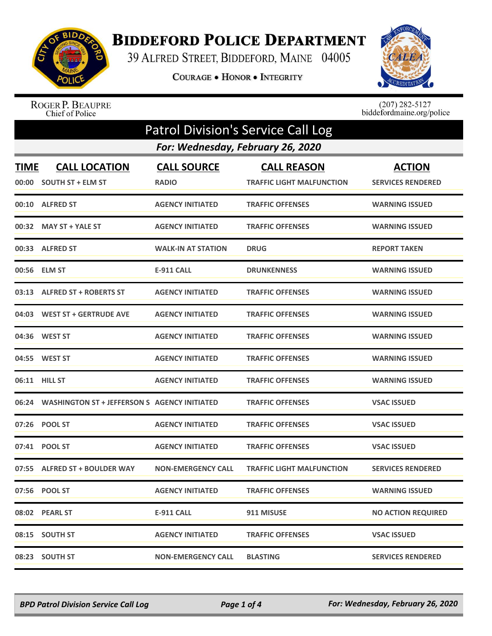

## **BIDDEFORD POLICE DEPARTMENT**

39 ALFRED STREET, BIDDEFORD, MAINE 04005

COURAGE . HONOR . INTEGRITY



ROGER P. BEAUPRE<br>Chief of Police

 $(207)$  282-5127 biddefordmaine.org/police

| <b>Patrol Division's Service Call Log</b> |                                                    |                           |                                  |                           |  |  |
|-------------------------------------------|----------------------------------------------------|---------------------------|----------------------------------|---------------------------|--|--|
|                                           | For: Wednesday, February 26, 2020                  |                           |                                  |                           |  |  |
| <b>TIME</b>                               | <b>CALL LOCATION</b>                               | <b>CALL SOURCE</b>        | <b>CALL REASON</b>               | <b>ACTION</b>             |  |  |
| 00:00                                     | <b>SOUTH ST + ELM ST</b>                           | <b>RADIO</b>              | <b>TRAFFIC LIGHT MALFUNCTION</b> | <b>SERVICES RENDERED</b>  |  |  |
|                                           | 00:10 ALFRED ST                                    | <b>AGENCY INITIATED</b>   | <b>TRAFFIC OFFENSES</b>          | <b>WARNING ISSUED</b>     |  |  |
|                                           | 00:32 MAY ST + YALE ST                             | <b>AGENCY INITIATED</b>   | <b>TRAFFIC OFFENSES</b>          | <b>WARNING ISSUED</b>     |  |  |
|                                           | 00:33 ALFRED ST                                    | <b>WALK-IN AT STATION</b> | <b>DRUG</b>                      | <b>REPORT TAKEN</b>       |  |  |
|                                           | 00:56 ELM ST                                       | E-911 CALL                | <b>DRUNKENNESS</b>               | <b>WARNING ISSUED</b>     |  |  |
|                                           | 03:13 ALFRED ST + ROBERTS ST                       | <b>AGENCY INITIATED</b>   | <b>TRAFFIC OFFENSES</b>          | <b>WARNING ISSUED</b>     |  |  |
|                                           | 04:03 WEST ST + GERTRUDE AVE                       | <b>AGENCY INITIATED</b>   | <b>TRAFFIC OFFENSES</b>          | <b>WARNING ISSUED</b>     |  |  |
|                                           | 04:36 WEST ST                                      | <b>AGENCY INITIATED</b>   | <b>TRAFFIC OFFENSES</b>          | <b>WARNING ISSUED</b>     |  |  |
|                                           | 04:55 WEST ST                                      | <b>AGENCY INITIATED</b>   | <b>TRAFFIC OFFENSES</b>          | <b>WARNING ISSUED</b>     |  |  |
|                                           | 06:11 HILL ST                                      | <b>AGENCY INITIATED</b>   | <b>TRAFFIC OFFENSES</b>          | <b>WARNING ISSUED</b>     |  |  |
|                                           | 06:24 WASHINGTON ST + JEFFERSON S AGENCY INITIATED |                           | <b>TRAFFIC OFFENSES</b>          | <b>VSAC ISSUED</b>        |  |  |
|                                           | 07:26 POOL ST                                      | <b>AGENCY INITIATED</b>   | <b>TRAFFIC OFFENSES</b>          | <b>VSAC ISSUED</b>        |  |  |
|                                           | 07:41 POOL ST                                      | <b>AGENCY INITIATED</b>   | <b>TRAFFIC OFFENSES</b>          | <b>VSAC ISSUED</b>        |  |  |
|                                           | 07:55 ALFRED ST + BOULDER WAY                      | <b>NON-EMERGENCY CALL</b> | <b>TRAFFIC LIGHT MALFUNCTION</b> | <b>SERVICES RENDERED</b>  |  |  |
|                                           | 07:56 POOL ST                                      | <b>AGENCY INITIATED</b>   | <b>TRAFFIC OFFENSES</b>          | <b>WARNING ISSUED</b>     |  |  |
|                                           | 08:02 PEARL ST                                     | E-911 CALL                | 911 MISUSE                       | <b>NO ACTION REQUIRED</b> |  |  |
|                                           | 08:15 SOUTH ST                                     | <b>AGENCY INITIATED</b>   | <b>TRAFFIC OFFENSES</b>          | <b>VSAC ISSUED</b>        |  |  |
|                                           | 08:23 SOUTH ST                                     | <b>NON-EMERGENCY CALL</b> | <b>BLASTING</b>                  | <b>SERVICES RENDERED</b>  |  |  |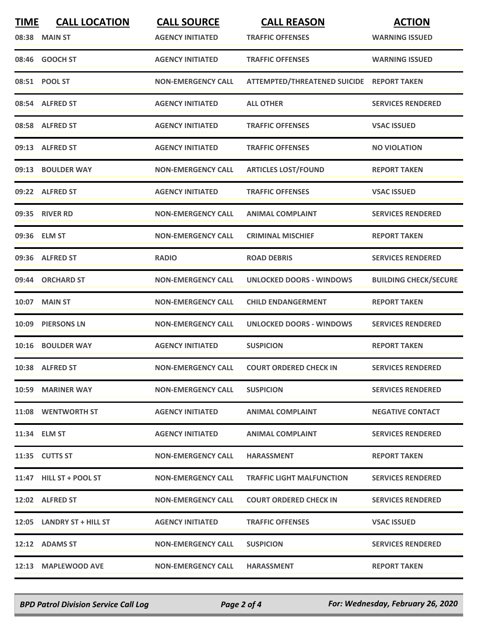| <b>TIME</b> | <b>CALL LOCATION</b>      | <b>CALL SOURCE</b>        | <b>CALL REASON</b>                        | <b>ACTION</b>                |
|-------------|---------------------------|---------------------------|-------------------------------------------|------------------------------|
|             | 08:38 MAIN ST             | <b>AGENCY INITIATED</b>   | <b>TRAFFIC OFFENSES</b>                   | <b>WARNING ISSUED</b>        |
|             | 08:46 GOOCH ST            | <b>AGENCY INITIATED</b>   | <b>TRAFFIC OFFENSES</b>                   | <b>WARNING ISSUED</b>        |
|             | 08:51 POOL ST             | <b>NON-EMERGENCY CALL</b> | ATTEMPTED/THREATENED SUICIDE REPORT TAKEN |                              |
|             | 08:54 ALFRED ST           | <b>AGENCY INITIATED</b>   | <b>ALL OTHER</b>                          | <b>SERVICES RENDERED</b>     |
|             | 08:58 ALFRED ST           | <b>AGENCY INITIATED</b>   | <b>TRAFFIC OFFENSES</b>                   | <b>VSAC ISSUED</b>           |
|             | 09:13 ALFRED ST           | <b>AGENCY INITIATED</b>   | <b>TRAFFIC OFFENSES</b>                   | <b>NO VIOLATION</b>          |
|             | 09:13 BOULDER WAY         | <b>NON-EMERGENCY CALL</b> | <b>ARTICLES LOST/FOUND</b>                | <b>REPORT TAKEN</b>          |
|             | 09:22 ALFRED ST           | <b>AGENCY INITIATED</b>   | <b>TRAFFIC OFFENSES</b>                   | <b>VSAC ISSUED</b>           |
|             | 09:35 RIVER RD            | <b>NON-EMERGENCY CALL</b> | <b>ANIMAL COMPLAINT</b>                   | <b>SERVICES RENDERED</b>     |
|             | 09:36 ELM ST              | <b>NON-EMERGENCY CALL</b> | <b>CRIMINAL MISCHIEF</b>                  | <b>REPORT TAKEN</b>          |
|             | 09:36 ALFRED ST           | <b>RADIO</b>              | <b>ROAD DEBRIS</b>                        | <b>SERVICES RENDERED</b>     |
| 09:44       | <b>ORCHARD ST</b>         | <b>NON-EMERGENCY CALL</b> | <b>UNLOCKED DOORS - WINDOWS</b>           | <b>BUILDING CHECK/SECURE</b> |
|             | 10:07 MAIN ST             | <b>NON-EMERGENCY CALL</b> | <b>CHILD ENDANGERMENT</b>                 | <b>REPORT TAKEN</b>          |
| 10:09       | <b>PIERSONS LN</b>        | <b>NON-EMERGENCY CALL</b> | <b>UNLOCKED DOORS - WINDOWS</b>           | <b>SERVICES RENDERED</b>     |
| 10:16       | <b>BOULDER WAY</b>        | <b>AGENCY INITIATED</b>   | <b>SUSPICION</b>                          | <b>REPORT TAKEN</b>          |
|             | 10:38 ALFRED ST           | <b>NON-EMERGENCY CALL</b> | <b>COURT ORDERED CHECK IN</b>             | <b>SERVICES RENDERED</b>     |
|             | 10:59 MARINER WAY         | <b>NON-EMERGENCY CALL</b> | <b>SUSPICION</b>                          | <b>SERVICES RENDERED</b>     |
|             | 11:08 WENTWORTH ST        | <b>AGENCY INITIATED</b>   | <b>ANIMAL COMPLAINT</b>                   | <b>NEGATIVE CONTACT</b>      |
|             | 11:34 ELM ST              | <b>AGENCY INITIATED</b>   | <b>ANIMAL COMPLAINT</b>                   | <b>SERVICES RENDERED</b>     |
|             | 11:35 CUTTS ST            | <b>NON-EMERGENCY CALL</b> | <b>HARASSMENT</b>                         | <b>REPORT TAKEN</b>          |
|             | 11:47 HILL ST + POOL ST   | <b>NON-EMERGENCY CALL</b> | <b>TRAFFIC LIGHT MALFUNCTION</b>          | <b>SERVICES RENDERED</b>     |
|             | 12:02 ALFRED ST           | <b>NON-EMERGENCY CALL</b> | <b>COURT ORDERED CHECK IN</b>             | <b>SERVICES RENDERED</b>     |
|             | 12:05 LANDRY ST + HILL ST | <b>AGENCY INITIATED</b>   | <b>TRAFFIC OFFENSES</b>                   | <b>VSAC ISSUED</b>           |
|             | 12:12 ADAMS ST            | <b>NON-EMERGENCY CALL</b> | <b>SUSPICION</b>                          | <b>SERVICES RENDERED</b>     |
|             | 12:13 MAPLEWOOD AVE       | <b>NON-EMERGENCY CALL</b> | <b>HARASSMENT</b>                         | <b>REPORT TAKEN</b>          |

*BPD Patrol Division Service Call Log Page 2 of 4 For: Wednesday, February 26, 2020*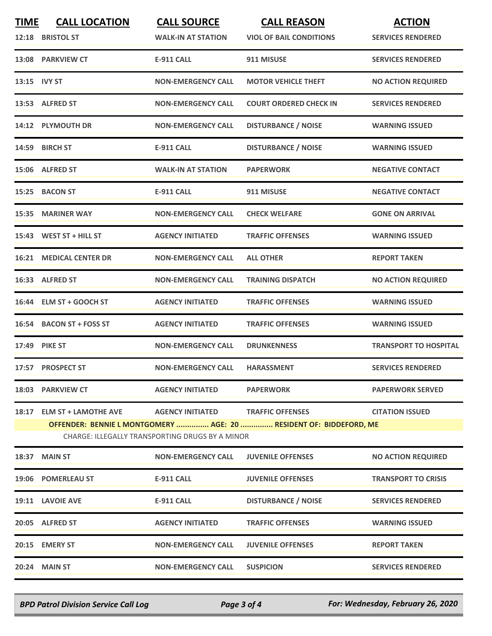| <b>TIME</b> | <b>CALL LOCATION</b><br>12:18 BRISTOL ST | <b>CALL SOURCE</b><br><b>WALK-IN AT STATION</b>                            | <b>CALL REASON</b><br><b>VIOL OF BAIL CONDITIONS</b>                                          | <b>ACTION</b><br><b>SERVICES RENDERED</b> |
|-------------|------------------------------------------|----------------------------------------------------------------------------|-----------------------------------------------------------------------------------------------|-------------------------------------------|
|             | 13:08 PARKVIEW CT                        | <b>E-911 CALL</b>                                                          | 911 MISUSE                                                                                    | <b>SERVICES RENDERED</b>                  |
|             | 13:15 IVY ST                             | <b>NON-EMERGENCY CALL</b>                                                  | <b>MOTOR VEHICLE THEFT</b>                                                                    | <b>NO ACTION REQUIRED</b>                 |
|             | 13:53 ALFRED ST                          | <b>NON-EMERGENCY CALL</b>                                                  | <b>COURT ORDERED CHECK IN</b>                                                                 | <b>SERVICES RENDERED</b>                  |
|             | 14:12 PLYMOUTH DR                        | <b>NON-EMERGENCY CALL</b>                                                  | <b>DISTURBANCE / NOISE</b>                                                                    | <b>WARNING ISSUED</b>                     |
|             | 14:59 BIRCH ST                           | <b>E-911 CALL</b>                                                          | <b>DISTURBANCE / NOISE</b>                                                                    | <b>WARNING ISSUED</b>                     |
|             | 15:06 ALFRED ST                          | <b>WALK-IN AT STATION</b>                                                  | <b>PAPERWORK</b>                                                                              | <b>NEGATIVE CONTACT</b>                   |
|             | 15:25 BACON ST                           | <b>E-911 CALL</b>                                                          | 911 MISUSE                                                                                    | <b>NEGATIVE CONTACT</b>                   |
|             | 15:35 MARINER WAY                        | <b>NON-EMERGENCY CALL</b>                                                  | <b>CHECK WELFARE</b>                                                                          | <b>GONE ON ARRIVAL</b>                    |
|             | 15:43 WEST ST + HILL ST                  | <b>AGENCY INITIATED</b>                                                    | <b>TRAFFIC OFFENSES</b>                                                                       | <b>WARNING ISSUED</b>                     |
|             | <b>16:21 MEDICAL CENTER DR</b>           | <b>NON-EMERGENCY CALL</b>                                                  | <b>ALL OTHER</b>                                                                              | <b>REPORT TAKEN</b>                       |
|             | 16:33 ALFRED ST                          | <b>NON-EMERGENCY CALL</b>                                                  | <b>TRAINING DISPATCH</b>                                                                      | <b>NO ACTION REQUIRED</b>                 |
|             | 16:44 ELM ST + GOOCH ST                  | <b>AGENCY INITIATED</b>                                                    | <b>TRAFFIC OFFENSES</b>                                                                       | <b>WARNING ISSUED</b>                     |
|             | 16:54 BACON ST + FOSS ST                 | <b>AGENCY INITIATED</b>                                                    | <b>TRAFFIC OFFENSES</b>                                                                       | <b>WARNING ISSUED</b>                     |
|             | 17:49 PIKE ST                            | <b>NON-EMERGENCY CALL</b>                                                  | <b>DRUNKENNESS</b>                                                                            | <b>TRANSPORT TO HOSPITAL</b>              |
|             | 17:57 PROSPECT ST                        | <b>NON-EMERGENCY CALL</b>                                                  | <b>HARASSMENT</b>                                                                             | <b>SERVICES RENDERED</b>                  |
|             | 18:03 PARKVIEW CT                        | <b>AGENCY INITIATED</b>                                                    | <b>PAPERWORK</b>                                                                              | <b>PAPERWORK SERVED</b>                   |
|             | 18:17 ELM ST + LAMOTHE AVE               | <b>AGENCY INITIATED</b><br>CHARGE: ILLEGALLY TRANSPORTING DRUGS BY A MINOR | <b>TRAFFIC OFFENSES</b><br>OFFENDER: BENNIE L MONTGOMERY  AGE: 20  RESIDENT OF: BIDDEFORD, ME | <b>CITATION ISSUED</b>                    |
|             | 18:37 MAIN ST                            | <b>NON-EMERGENCY CALL</b>                                                  | <b>JUVENILE OFFENSES</b>                                                                      | <b>NO ACTION REQUIRED</b>                 |
|             | 19:06 POMERLEAU ST                       | <b>E-911 CALL</b>                                                          | <b>JUVENILE OFFENSES</b>                                                                      | <b>TRANSPORT TO CRISIS</b>                |
|             | 19:11 LAVOIE AVE                         | <b>E-911 CALL</b>                                                          | <b>DISTURBANCE / NOISE</b>                                                                    | <b>SERVICES RENDERED</b>                  |
|             | 20:05 ALFRED ST                          | <b>AGENCY INITIATED</b>                                                    | <b>TRAFFIC OFFENSES</b>                                                                       | <b>WARNING ISSUED</b>                     |
|             | 20:15 EMERY ST                           | <b>NON-EMERGENCY CALL</b>                                                  | <b>JUVENILE OFFENSES</b>                                                                      | <b>REPORT TAKEN</b>                       |
|             | 20:24 MAIN ST                            | <b>NON-EMERGENCY CALL</b>                                                  | <b>SUSPICION</b>                                                                              | <b>SERVICES RENDERED</b>                  |
|             |                                          |                                                                            |                                                                                               |                                           |

*BPD Patrol Division Service Call Log Page 3 of 4 For: Wednesday, February 26, 2020*